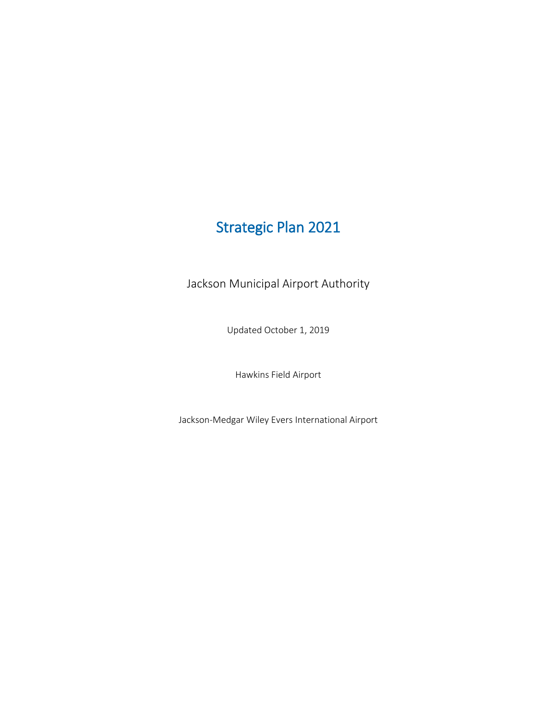# Strategic Plan 2021

Jackson Municipal Airport Authority

Updated October 1, 2019

Hawkins Field Airport

Jackson-Medgar Wiley Evers International Airport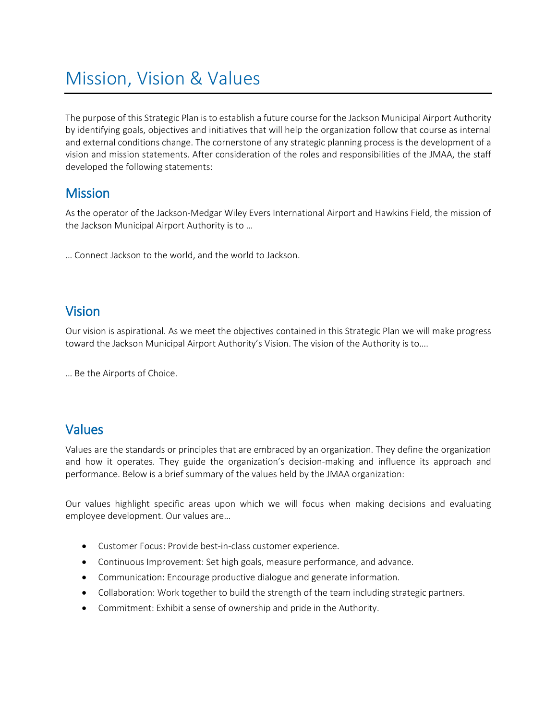# Mission, Vision & Values

The purpose of this Strategic Plan is to establish a future course for the Jackson Municipal Airport Authority by identifying goals, objectives and initiatives that will help the organization follow that course as internal and external conditions change. The cornerstone of any strategic planning process is the development of a vision and mission statements. After consideration of the roles and responsibilities of the JMAA, the staff developed the following statements:

### **Mission**

As the operator of the Jackson-Medgar Wiley Evers International Airport and Hawkins Field, the mission of the Jackson Municipal Airport Authority is to …

… Connect Jackson to the world, and the world to Jackson.

## Vision

Our vision is aspirational. As we meet the objectives contained in this Strategic Plan we will make progress toward the Jackson Municipal Airport Authority's Vision. The vision of the Authority is to….

… Be the Airports of Choice.

## Values

Values are the standards or principles that are embraced by an organization. They define the organization and how it operates. They guide the organization's decision-making and influence its approach and performance. Below is a brief summary of the values held by the JMAA organization:

Our values highlight specific areas upon which we will focus when making decisions and evaluating employee development. Our values are…

- Customer Focus: Provide best-in-class customer experience.
- Continuous Improvement: Set high goals, measure performance, and advance.
- Communication: Encourage productive dialogue and generate information.
- Collaboration: Work together to build the strength of the team including strategic partners.
- Commitment: Exhibit a sense of ownership and pride in the Authority.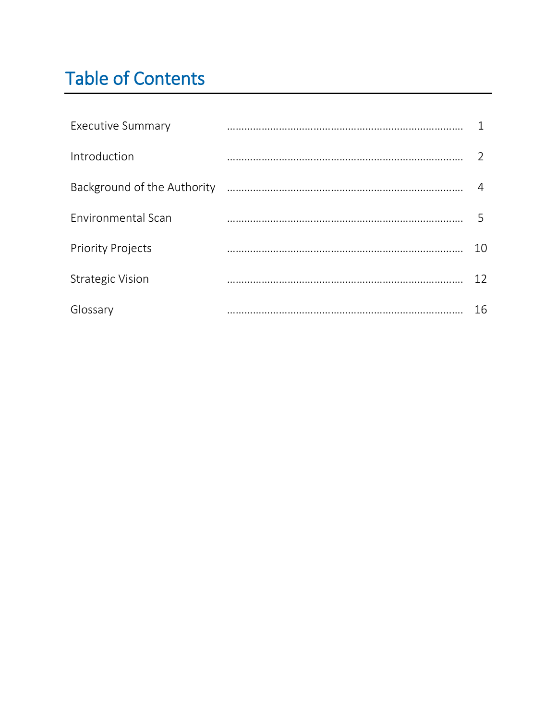# Table of Contents

| <b>Executive Summary</b>    |    |
|-----------------------------|----|
| Introduction                |    |
| Background of the Authority |    |
| Environmental Scan          | 5  |
| <b>Priority Projects</b>    | 10 |
| <b>Strategic Vision</b>     | 12 |
| Glossary                    | 16 |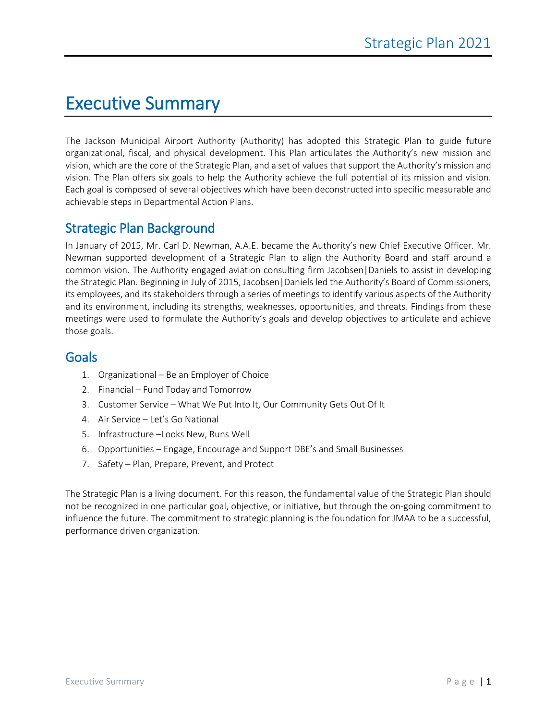# Executive Summary

The Jackson Municipal Airport Authority (Authority) has adopted this Strategic Plan to guide future organizational, fiscal, and physical development. This Plan articulates the Authority's new mission and vision, which are the core of the Strategic Plan, and a set of values that support the Authority's mission and vision. The Plan offers six goals to help the Authority achieve the full potential of its mission and vision. Each goal is composed of several objectives which have been deconstructed into specific measurable and achievable steps in Departmental Action Plans.

# Strategic Plan Background

In January of 2015, Mr. Carl D. Newman, A.A.E. became the Authority's new Chief Executive Officer. Mr. Newman supported development of a Strategic Plan to align the Authority Board and staff around a common vision. The Authority engaged aviation consulting firm Jacobsen|Daniels to assist in developing the Strategic Plan. Beginning in July of 2015, Jacobsen|Daniels led the Authority's Board of Commissioners, its employees, and its stakeholders through a series of meetings to identify various aspects of the Authority and its environment, including its strengths, weaknesses, opportunities, and threats. Findings from these meetings were used to formulate the Authority's goals and develop objectives to articulate and achieve those goals.

## Goals

- 1. Organizational Be an Employer of Choice
- 2. Financial Fund Today and Tomorrow
- 3. Customer Service What We Put Into It, Our Community Gets Out Of It
- 4. Air Service Let's Go National
- 5. Infrastructure –Looks New, Runs Well
- 6. Opportunities Engage, Encourage and Support DBE's and Small Businesses
- 7. Safety Plan, Prepare, Prevent, and Protect

The Strategic Plan is a living document. For this reason, the fundamental value of the Strategic Plan should not be recognized in one particular goal, objective, or initiative, but through the on-going commitment to influence the future. The commitment to strategic planning is the foundation for JMAA to be a successful, performance driven organization.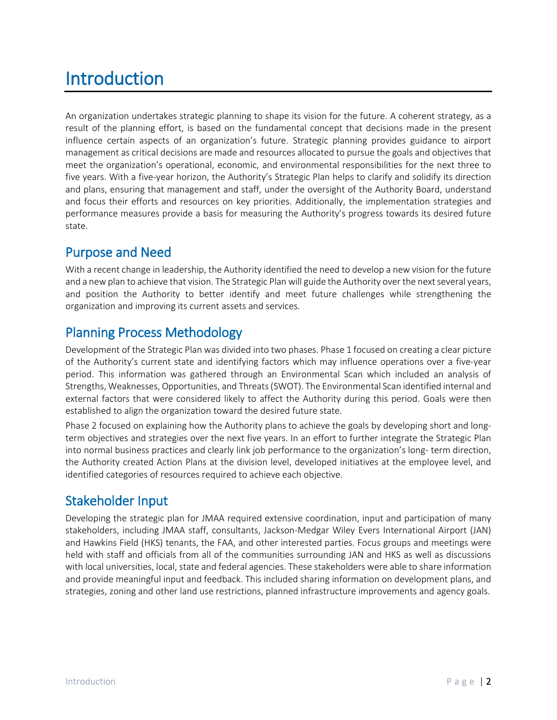# Introduction

An organization undertakes strategic planning to shape its vision for the future. A coherent strategy, as a result of the planning effort, is based on the fundamental concept that decisions made in the present influence certain aspects of an organization's future. Strategic planning provides guidance to airport management as critical decisions are made and resources allocated to pursue the goals and objectives that meet the organization's operational, economic, and environmental responsibilities for the next three to five years. With a five-year horizon, the Authority's Strategic Plan helps to clarify and solidify its direction and plans, ensuring that management and staff, under the oversight of the Authority Board, understand and focus their efforts and resources on key priorities. Additionally, the implementation strategies and performance measures provide a basis for measuring the Authority's progress towards its desired future state.

# Purpose and Need

With a recent change in leadership, the Authority identified the need to develop a new vision for the future and a new plan to achieve that vision. The Strategic Plan will guide the Authority over the next several years, and position the Authority to better identify and meet future challenges while strengthening the organization and improving its current assets and services.

# Planning Process Methodology

Development of the Strategic Plan was divided into two phases. Phase 1 focused on creating a clear picture of the Authority's current state and identifying factors which may influence operations over a five-year period. This information was gathered through an Environmental Scan which included an analysis of Strengths, Weaknesses, Opportunities, and Threats (SWOT). The Environmental Scan identified internal and external factors that were considered likely to affect the Authority during this period. Goals were then established to align the organization toward the desired future state.

Phase 2 focused on explaining how the Authority plans to achieve the goals by developing short and longterm objectives and strategies over the next five years. In an effort to further integrate the Strategic Plan into normal business practices and clearly link job performance to the organization's long- term direction, the Authority created Action Plans at the division level, developed initiatives at the employee level, and identified categories of resources required to achieve each objective.

# Stakeholder Input

Developing the strategic plan for JMAA required extensive coordination, input and participation of many stakeholders, including JMAA staff, consultants, Jackson-Medgar Wiley Evers International Airport (JAN) and Hawkins Field (HKS) tenants, the FAA, and other interested parties. Focus groups and meetings were held with staff and officials from all of the communities surrounding JAN and HKS as well as discussions with local universities, local, state and federal agencies. These stakeholders were able to share information and provide meaningful input and feedback. This included sharing information on development plans, and strategies, zoning and other land use restrictions, planned infrastructure improvements and agency goals.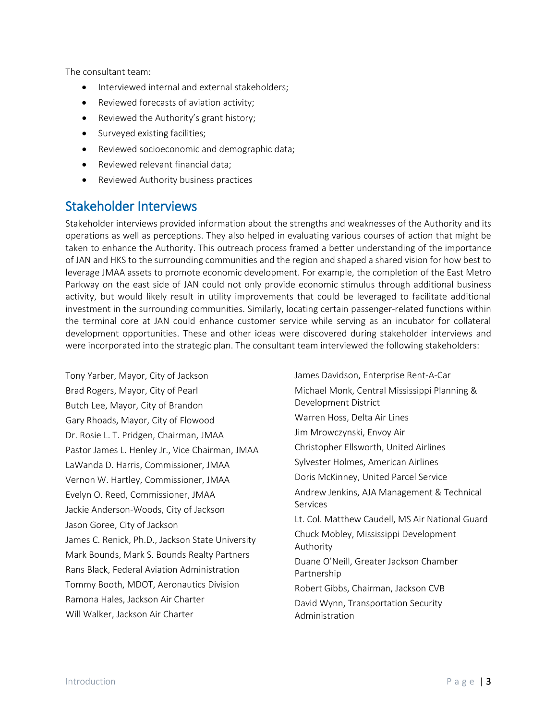The consultant team:

- Interviewed internal and external stakeholders;
- Reviewed forecasts of aviation activity;
- Reviewed the Authority's grant history;
- Surveyed existing facilities;
- Reviewed socioeconomic and demographic data;
- Reviewed relevant financial data;
- Reviewed Authority business practices

## Stakeholder Interviews

Stakeholder interviews provided information about the strengths and weaknesses of the Authority and its operations as well as perceptions. They also helped in evaluating various courses of action that might be taken to enhance the Authority. This outreach process framed a better understanding of the importance of JAN and HKS to the surrounding communities and the region and shaped a shared vision for how best to leverage JMAA assets to promote economic development. For example, the completion of the East Metro Parkway on the east side of JAN could not only provide economic stimulus through additional business activity, but would likely result in utility improvements that could be leveraged to facilitate additional investment in the surrounding communities. Similarly, locating certain passenger-related functions within the terminal core at JAN could enhance customer service while serving as an incubator for collateral development opportunities. These and other ideas were discovered during stakeholder interviews and were incorporated into the strategic plan. The consultant team interviewed the following stakeholders:

Tony Yarber, Mayor, City of Jackson Brad Rogers, Mayor, City of Pearl Butch Lee, Mayor, City of Brandon Gary Rhoads, Mayor, City of Flowood Dr. Rosie L. T. Pridgen, Chairman, JMAA Pastor James L. Henley Jr., Vice Chairman, JMAA LaWanda D. Harris, Commissioner, JMAA Vernon W. Hartley, Commissioner, JMAA Evelyn O. Reed, Commissioner, JMAA Jackie Anderson-Woods, City of Jackson Jason Goree, City of Jackson James C. Renick, Ph.D., Jackson State University Mark Bounds, Mark S. Bounds Realty Partners Rans Black, Federal Aviation Administration Tommy Booth, MDOT, Aeronautics Division Ramona Hales, Jackson Air Charter Will Walker, Jackson Air Charter

James Davidson, Enterprise Rent-A-Car Michael Monk, Central Mississippi Planning & Development District Warren Hoss, Delta Air Lines Jim Mrowczynski, Envoy Air Christopher Ellsworth, United Airlines Sylvester Holmes, American Airlines Doris McKinney, United Parcel Service Andrew Jenkins, AJA Management & Technical Services Lt. Col. Matthew Caudell, MS Air National Guard Chuck Mobley, Mississippi Development Authority Duane O'Neill, Greater Jackson Chamber Partnership Robert Gibbs, Chairman, Jackson CVB David Wynn, Transportation Security Administration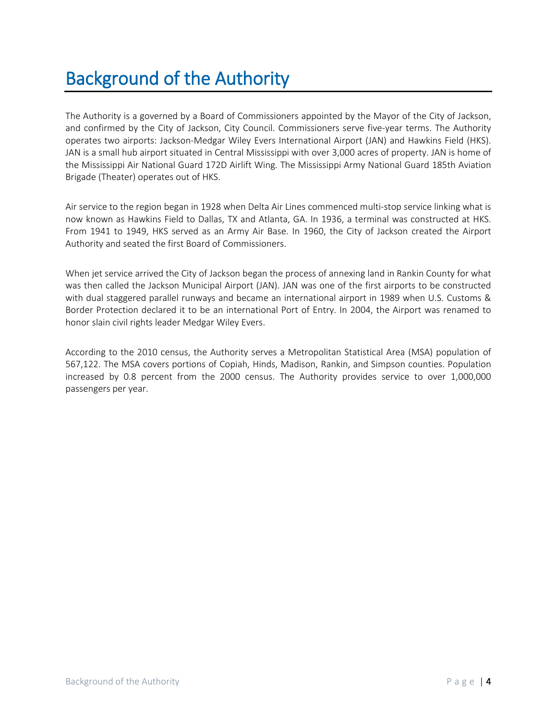# Background of the Authority

The Authority is a governed by a Board of Commissioners appointed by the Mayor of the City of Jackson, and confirmed by the City of Jackson, City Council. Commissioners serve five-year terms. The Authority operates two airports: Jackson-Medgar Wiley Evers International Airport (JAN) and Hawkins Field (HKS). JAN is a small hub airport situated in Central Mississippi with over 3,000 acres of property. JAN is home of the Mississippi Air National Guard 172D Airlift Wing. The Mississippi Army National Guard 185th Aviation Brigade (Theater) operates out of HKS.

Air service to the region began in 1928 when Delta Air Lines commenced multi-stop service linking what is now known as Hawkins Field to Dallas, TX and Atlanta, GA. In 1936, a terminal was constructed at HKS. From 1941 to 1949, HKS served as an Army Air Base. In 1960, the City of Jackson created the Airport Authority and seated the first Board of Commissioners.

When jet service arrived the City of Jackson began the process of annexing land in Rankin County for what was then called the Jackson Municipal Airport (JAN). JAN was one of the first airports to be constructed with dual staggered parallel runways and became an international airport in 1989 when U.S. Customs & Border Protection declared it to be an international Port of Entry. In 2004, the Airport was renamed to honor slain civil rights leader Medgar Wiley Evers.

According to the 2010 census, the Authority serves a Metropolitan Statistical Area (MSA) population of 567,122. The MSA covers portions of [Copiah,](https://en.wikipedia.org/wiki/Copiah_County%2C_Mississippi) [Hinds,](https://en.wikipedia.org/wiki/Hinds_County%2C_Mississippi) [Madison,](https://en.wikipedia.org/wiki/Madison_County%2C_Mississippi) [Rankin,](https://en.wikipedia.org/wiki/Rankin_County%2C_Mississippi) and [Simpson](https://en.wikipedia.org/wiki/Simpson_County%2C_Mississippi) counties. Population increased by 0.8 percent from the 2000 census. The Authority provides service to over 1,000,000 passengers per year.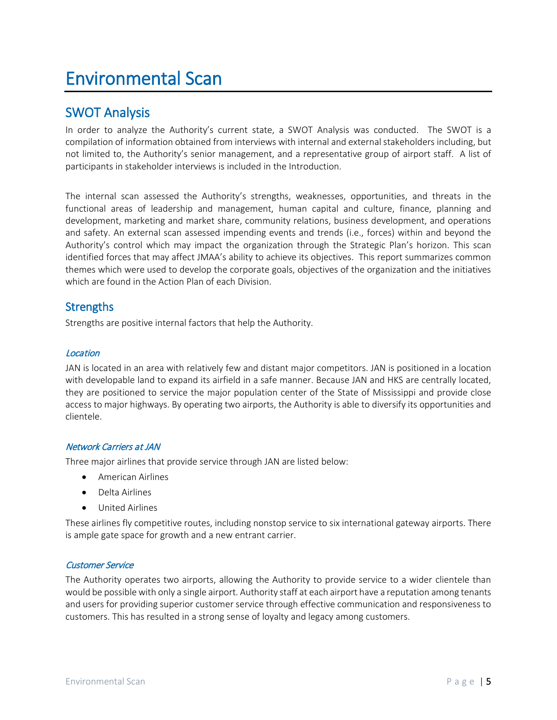# Environmental Scan

## SWOT Analysis

In order to analyze the Authority's current state, a SWOT Analysis was conducted. The SWOT is a compilation of information obtained from interviews with internal and external stakeholders including, but not limited to, the Authority's senior management, and a representative group of airport staff. A list of participants in stakeholder interviews is included in the Introduction.

The internal scan assessed the Authority's strengths, weaknesses, opportunities, and threats in the functional areas of leadership and management, human capital and culture, finance, planning and development, marketing and market share, community relations, business development, and operations and safety. An external scan assessed impending events and trends (i.e., forces) within and beyond the Authority's control which may impact the organization through the Strategic Plan's horizon. This scan identified forces that may affect JMAA's ability to achieve its objectives. This report summarizes common themes which were used to develop the corporate goals, objectives of the organization and the initiatives which are found in the Action Plan of each Division.

### **Strengths**

Strengths are positive internal factors that help the Authority.

### Location

JAN is located in an area with relatively few and distant major competitors. JAN is positioned in a location with developable land to expand its airfield in a safe manner. Because JAN and HKS are centrally located, they are positioned to service the major population center of the State of Mississippi and provide close access to major highways. By operating two airports, the Authority is able to diversify its opportunities and clientele.

### Network Carriers at JAN

Three major airlines that provide service through JAN are listed below:

- American Airlines
- Delta Airlines
- United Airlines

These airlines fly competitive routes, including nonstop service to six international gateway airports. There is ample gate space for growth and a new entrant carrier.

### Customer Service

The Authority operates two airports, allowing the Authority to provide service to a wider clientele than would be possible with only a single airport. Authority staff at each airport have a reputation among tenants and users for providing superior customer service through effective communication and responsiveness to customers. This has resulted in a strong sense of loyalty and legacy among customers.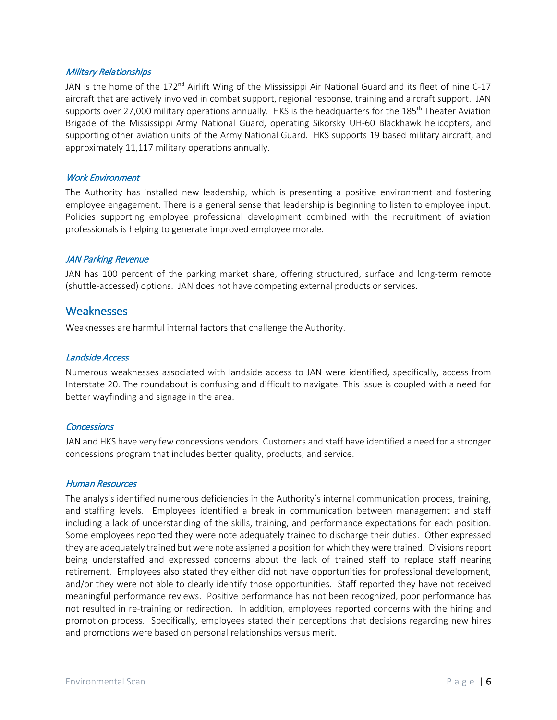#### Military Relationships

JAN is the home of the 172<sup>nd</sup> Airlift Wing of the Mississippi Air National Guard and its fleet of nine C-17 aircraft that are actively involved in combat support, regional response, training and aircraft support. JAN supports over 27,000 military operations annually. HKS is the headquarters for the 185<sup>th</sup> Theater Aviation Brigade of the Mississippi Army National Guard, operating Sikorsky UH-60 Blackhawk helicopters, and supporting other aviation units of the Army National Guard. HKS supports 19 based military aircraft, and approximately 11,117 military operations annually.

#### Work Environment

The Authority has installed new leadership, which is presenting a positive environment and fostering employee engagement. There is a general sense that leadership is beginning to listen to employee input. Policies supporting employee professional development combined with the recruitment of aviation professionals is helping to generate improved employee morale.

#### JAN Parking Revenue

JAN has 100 percent of the parking market share, offering structured, surface and long-term remote (shuttle-accessed) options. JAN does not have competing external products or services.

### **Weaknesses**

Weaknesses are harmful internal factors that challenge the Authority.

#### Landside Access

Numerous weaknesses associated with landside access to JAN were identified, specifically, access from Interstate 20. The roundabout is confusing and difficult to navigate. This issue is coupled with a need for better wayfinding and signage in the area.

#### **Concessions**

JAN and HKS have very few concessions vendors. Customers and staff have identified a need for a stronger concessions program that includes better quality, products, and service.

#### Human Resources

The analysis identified numerous deficiencies in the Authority's internal communication process, training, and staffing levels. Employees identified a break in communication between management and staff including a lack of understanding of the skills, training, and performance expectations for each position. Some employees reported they were note adequately trained to discharge their duties. Other expressed they are adequately trained but were note assigned a position for which they were trained. Divisions report being understaffed and expressed concerns about the lack of trained staff to replace staff nearing retirement. Employees also stated they either did not have opportunities for professional development, and/or they were not able to clearly identify those opportunities. Staff reported they have not received meaningful performance reviews. Positive performance has not been recognized, poor performance has not resulted in re-training or redirection. In addition, employees reported concerns with the hiring and promotion process. Specifically, employees stated their perceptions that decisions regarding new hires and promotions were based on personal relationships versus merit.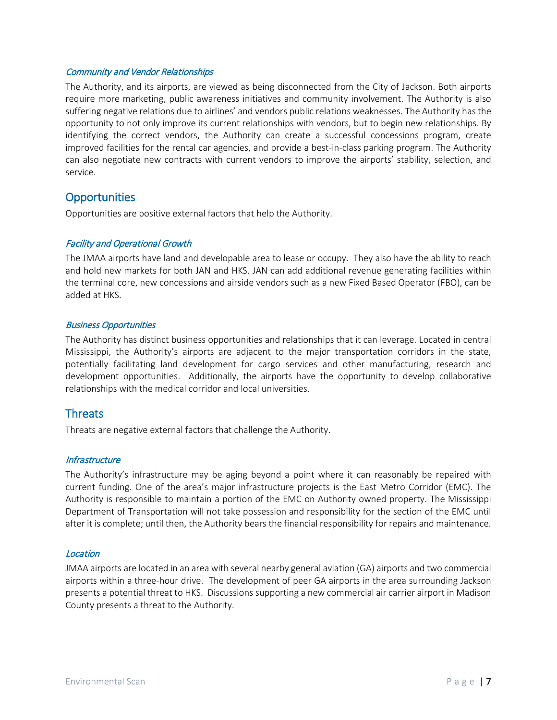#### Community and Vendor Relationships

The Authority, and its airports, are viewed as being disconnected from the City of Jackson. Both airports require more marketing, public awareness initiatives and community involvement. The Authority is also suffering negative relations due to airlines' and vendors public relations weaknesses. The Authority has the opportunity to not only improve its current relationships with vendors, but to begin new relationships. By identifying the correct vendors, the Authority can create a successful concessions program, create improved facilities for the rental car agencies, and provide a best-in-class parking program. The Authority can also negotiate new contracts with current vendors to improve the airports' stability, selection, and service.

### **Opportunities**

Opportunities are positive external factors that help the Authority.

### Facility and Operational Growth

The JMAA airports have land and developable area to lease or occupy. They also have the ability to reach and hold new markets for both JAN and HKS. JAN can add additional revenue generating facilities within the terminal core, new concessions and airside vendors such as a new Fixed Based Operator (FBO), can be added at HKS.

#### Business Opportunities

The Authority has distinct business opportunities and relationships that it can leverage. Located in central Mississippi, the Authority's airports are adjacent to the major transportation corridors in the state, potentially facilitating land development for cargo services and other manufacturing, research and development opportunities. Additionally, the airports have the opportunity to develop collaborative relationships with the medical corridor and local universities.

### **Threats**

Threats are negative external factors that challenge the Authority.

### **Infrastructure**

The Authority's infrastructure may be aging beyond a point where it can reasonably be repaired with current funding. One of the area's major infrastructure projects is the East Metro Corridor (EMC). The Authority is responsible to maintain a portion of the EMC on Authority owned property. The Mississippi Department of Transportation will not take possession and responsibility for the section of the EMC until after it is complete; until then, the Authority bears the financial responsibility for repairs and maintenance.

#### Location

JMAA airports are located in an area with several nearby general aviation (GA) airports and two commercial airports within a three-hour drive. The development of peer GA airports in the area surrounding Jackson presents a potential threat to HKS. Discussions supporting a new commercial air carrier airport in Madison County presents a threat to the Authority.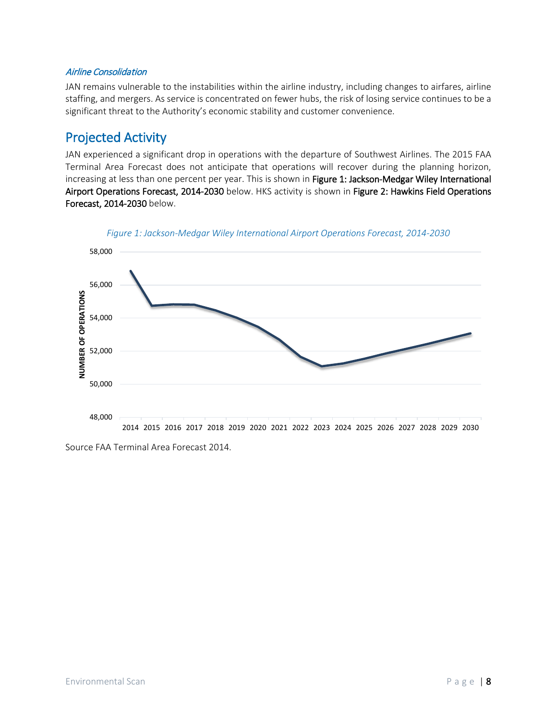### Airline Consolidation

JAN remains vulnerable to the instabilities within the airline industry, including changes to airfares, airline staffing, and mergers. As service is concentrated on fewer hubs, the risk of losing service continues to be a significant threat to the Authority's economic stability and customer convenience.

## Projected Activity

JAN experienced a significant drop in operations with the departure of Southwest Airlines. The 2015 FAA Terminal Area Forecast does not anticipate that operations will recover during the planning horizon, increasing at less than one percent per year. This is shown in Figure 1: Jackson-Medgar Wiley International [Airport Operations Forecast, 2014-2030](#page-10-0) below. HKS activity is shown in Figure 2: Hawkins Field Operations [Forecast, 2014-2030](#page-11-0) below.

<span id="page-10-0"></span>

*Figure 1: Jackson-Medgar Wiley International Airport Operations Forecast, 2014-2030*

Source FAA Terminal Area Forecast 2014.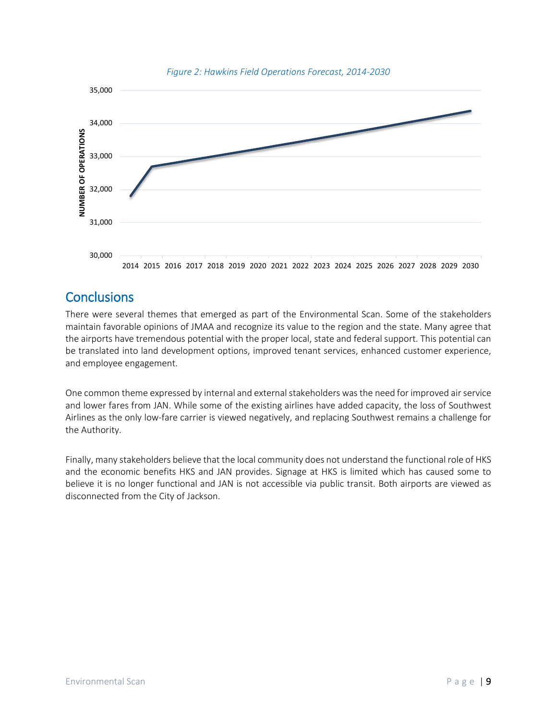<span id="page-11-0"></span>

#### *Figure 2: Hawkins Field Operations Forecast, 2014-2030*

# **Conclusions**

There were several themes that emerged as part of the Environmental Scan. Some of the stakeholders maintain favorable opinions of JMAA and recognize its value to the region and the state. Many agree that the airports have tremendous potential with the proper local, state and federal support. This potential can be translated into land development options, improved tenant services, enhanced customer experience, and employee engagement.

One common theme expressed by internal and external stakeholders was the need for improved air service and lower fares from JAN. While some of the existing airlines have added capacity, the loss of Southwest Airlines as the only low-fare carrier is viewed negatively, and replacing Southwest remains a challenge for the Authority.

Finally, many stakeholders believe that the local community does not understand the functional role of HKS and the economic benefits HKS and JAN provides. Signage at HKS is limited which has caused some to believe it is no longer functional and JAN is not accessible via public transit. Both airports are viewed as disconnected from the City of Jackson.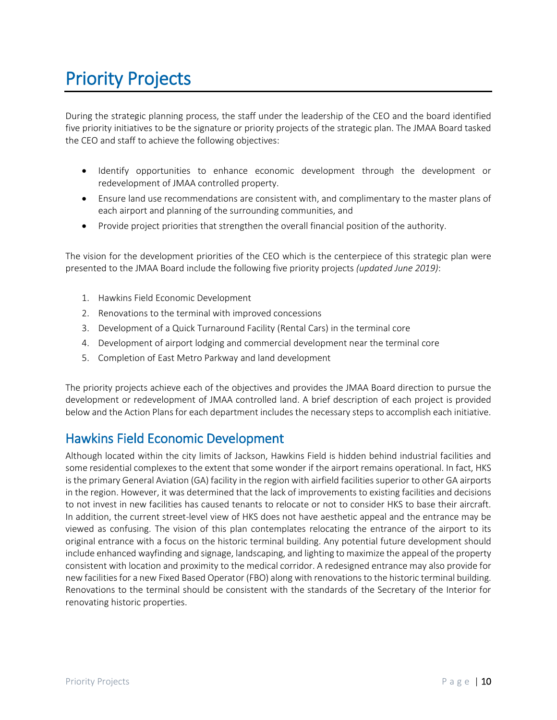# Priority Projects

During the strategic planning process, the staff under the leadership of the CEO and the board identified five priority initiatives to be the signature or priority projects of the strategic plan. The JMAA Board tasked the CEO and staff to achieve the following objectives:

- Identify opportunities to enhance economic development through the development or redevelopment of JMAA controlled property.
- Ensure land use recommendations are consistent with, and complimentary to the master plans of each airport and planning of the surrounding communities, and
- Provide project priorities that strengthen the overall financial position of the authority.

The vision for the development priorities of the CEO which is the centerpiece of this strategic plan were presented to the JMAA Board include the following five priority projects *(updated June 2019)*:

- 1. Hawkins Field Economic Development
- 2. Renovations to the terminal with improved concessions
- 3. Development of a Quick Turnaround Facility (Rental Cars) in the terminal core
- 4. Development of airport lodging and commercial development near the terminal core
- 5. Completion of East Metro Parkway and land development

The priority projects achieve each of the objectives and provides the JMAA Board direction to pursue the development or redevelopment of JMAA controlled land. A brief description of each project is provided below and the Action Plans for each department includes the necessary steps to accomplish each initiative.

## Hawkins Field Economic Development

Although located within the city limits of Jackson, Hawkins Field is hidden behind industrial facilities and some residential complexes to the extent that some wonder if the airport remains operational. In fact, HKS is the primary General Aviation (GA) facility in the region with airfield facilities superior to other GA airports in the region. However, it was determined that the lack of improvements to existing facilities and decisions to not invest in new facilities has caused tenants to relocate or not to consider HKS to base their aircraft. In addition, the current street-level view of HKS does not have aesthetic appeal and the entrance may be viewed as confusing. The vision of this plan contemplates relocating the entrance of the airport to its original entrance with a focus on the historic terminal building. Any potential future development should include enhanced wayfinding and signage, landscaping, and lighting to maximize the appeal of the property consistent with location and proximity to the medical corridor. A redesigned entrance may also provide for new facilities for a new Fixed Based Operator (FBO) along with renovations to the historic terminal building. Renovations to the terminal should be consistent with the standards of the Secretary of the Interior for renovating historic properties.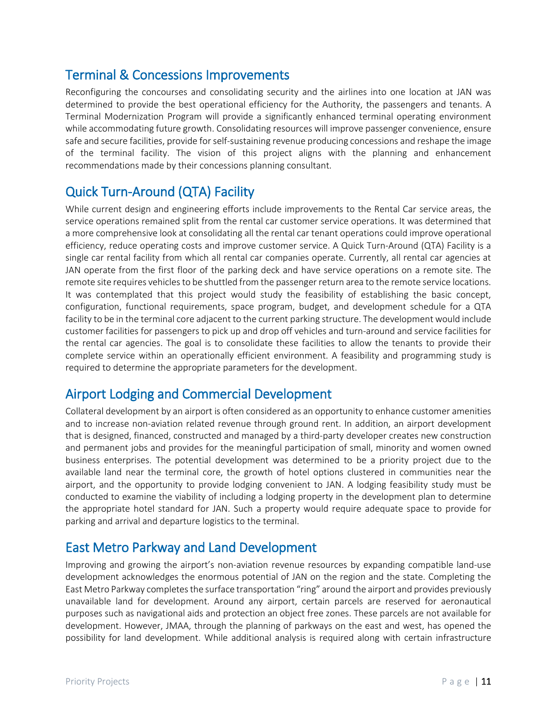# Terminal & Concessions Improvements

Reconfiguring the concourses and consolidating security and the airlines into one location at JAN was determined to provide the best operational efficiency for the Authority, the passengers and tenants. A Terminal Modernization Program will provide a significantly enhanced terminal operating environment while accommodating future growth. Consolidating resources will improve passenger convenience, ensure safe and secure facilities, provide for self-sustaining revenue producing concessions and reshape the image of the terminal facility. The vision of this project aligns with the planning and enhancement recommendations made by their concessions planning consultant.

# Quick Turn-Around (QTA) Facility

While current design and engineering efforts include improvements to the Rental Car service areas, the service operations remained split from the rental car customer service operations. It was determined that a more comprehensive look at consolidating all the rental car tenant operations could improve operational efficiency, reduce operating costs and improve customer service. A Quick Turn-Around (QTA) Facility is a single car rental facility from which all rental car companies operate. Currently, all rental car agencies at JAN operate from the first floor of the parking deck and have service operations on a remote site. The remote site requires vehicles to be shuttled from the passenger return area to the remote service locations. It was contemplated that this project would study the feasibility of establishing the basic concept, configuration, functional requirements, space program, budget, and development schedule for a QTA facility to be in the terminal core adjacent to the current parking structure. The development would include customer facilities for passengers to pick up and drop off vehicles and turn-around and service facilities for the rental car agencies. The goal is to consolidate these facilities to allow the tenants to provide their complete service within an operationally efficient environment. A feasibility and programming study is required to determine the appropriate parameters for the development.

# Airport Lodging and Commercial Development

Collateral development by an airport is often considered as an opportunity to enhance customer amenities and to increase non-aviation related revenue through ground rent. In addition, an airport development that is designed, financed, constructed and managed by a third-party developer creates new construction and permanent jobs and provides for the meaningful participation of small, minority and women owned business enterprises. The potential development was determined to be a priority project due to the available land near the terminal core, the growth of hotel options clustered in communities near the airport, and the opportunity to provide lodging convenient to JAN. A lodging feasibility study must be conducted to examine the viability of including a lodging property in the development plan to determine the appropriate hotel standard for JAN. Such a property would require adequate space to provide for parking and arrival and departure logistics to the terminal.

# East Metro Parkway and Land Development

Improving and growing the airport's non-aviation revenue resources by expanding compatible land-use development acknowledges the enormous potential of JAN on the region and the state. Completing the East Metro Parkway completes the surface transportation "ring" around the airport and provides previously unavailable land for development. Around any airport, certain parcels are reserved for aeronautical purposes such as navigational aids and protection an object free zones. These parcels are not available for development. However, JMAA, through the planning of parkways on the east and west, has opened the possibility for land development. While additional analysis is required along with certain infrastructure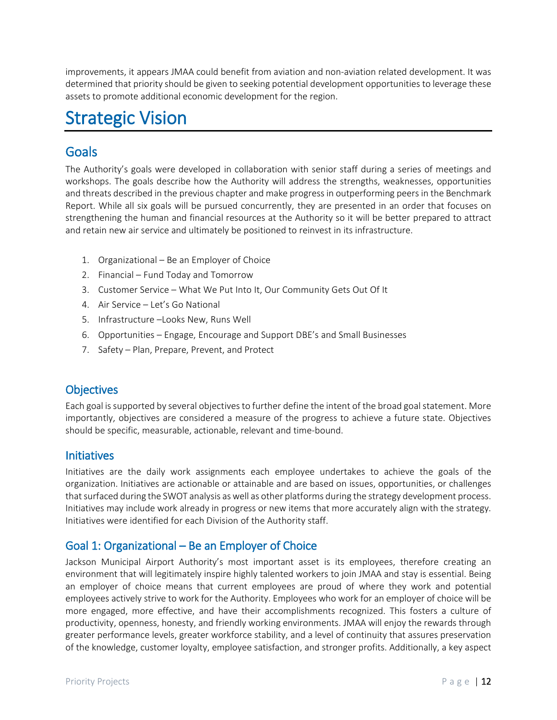improvements, it appears JMAA could benefit from aviation and non-aviation related development. It was determined that priority should be given to seeking potential development opportunities to leverage these assets to promote additional economic development for the region.

# Strategic Vision

## Goals

The Authority's goals were developed in collaboration with senior staff during a series of meetings and workshops. The goals describe how the Authority will address the strengths, weaknesses, opportunities and threats described in the previous chapter and make progress in outperforming peers in the Benchmark Report. While all six goals will be pursued concurrently, they are presented in an order that focuses on strengthening the human and financial resources at the Authority so it will be better prepared to attract and retain new air service and ultimately be positioned to reinvest in its infrastructure.

- 1. Organizational Be an Employer of Choice
- 2. Financial Fund Today and Tomorrow
- 3. Customer Service What We Put Into It, Our Community Gets Out Of It
- 4. Air Service Let's Go National
- 5. Infrastructure –Looks New, Runs Well
- 6. Opportunities Engage, Encourage and Support DBE's and Small Businesses
- 7. Safety Plan, Prepare, Prevent, and Protect

### **Objectives**

Each goal issupported by several objectives to further define the intent of the broad goal statement. More importantly, objectives are considered a measure of the progress to achieve a future state. Objectives should be specific, measurable, actionable, relevant and time-bound.

### **Initiatives**

Initiatives are the daily work assignments each employee undertakes to achieve the goals of the organization. Initiatives are actionable or attainable and are based on issues, opportunities, or challenges that surfaced during the SWOT analysis as well as other platforms during the strategy development process. Initiatives may include work already in progress or new items that more accurately align with the strategy. Initiatives were identified for each Division of the Authority staff.

### Goal 1: Organizational – Be an Employer of Choice

Jackson Municipal Airport Authority's most important asset is its employees, therefore creating an environment that will legitimately inspire highly talented workers to join JMAA and stay is essential. Being an employer of choice means that current employees are proud of where they work and potential employees actively strive to work for the Authority. Employees who work for an employer of choice will be more engaged, more effective, and have their accomplishments recognized. This fosters a culture of productivity, openness, honesty, and friendly working environments. JMAA will enjoy the rewards through greater performance levels, greater workforce stability, and a level of continuity that assures preservation of the knowledge, customer loyalty, employee satisfaction, and stronger profits. Additionally, a key aspect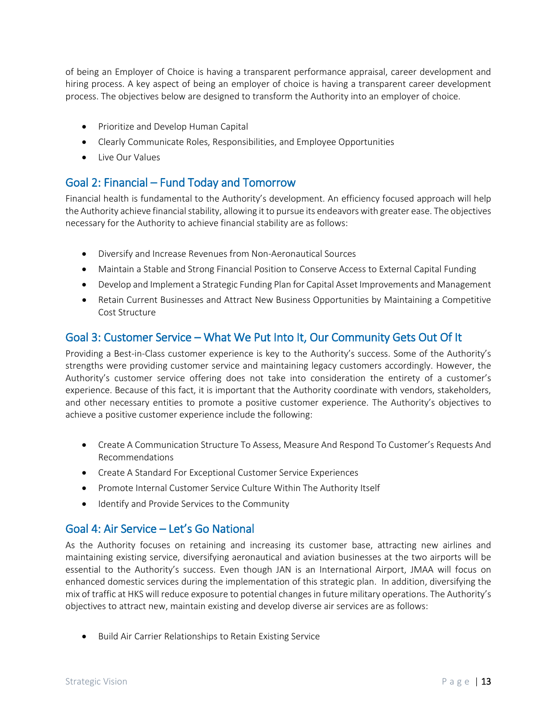of being an Employer of Choice is having a transparent performance appraisal, career development and hiring process. A key aspect of being an employer of choice is having a transparent career development process. The objectives below are designed to transform the Authority into an employer of choice.

- Prioritize and Develop Human Capital
- Clearly Communicate Roles, Responsibilities, and Employee Opportunities
- Live Our Values

### Goal 2: Financial – Fund Today and Tomorrow

Financial health is fundamental to the Authority's development. An efficiency focused approach will help the Authority achieve financial stability, allowing it to pursue its endeavors with greater ease. The objectives necessary for the Authority to achieve financial stability are as follows:

- Diversify and Increase Revenues from Non-Aeronautical Sources
- Maintain a Stable and Strong Financial Position to Conserve Access to External Capital Funding
- Develop and Implement a Strategic Funding Plan for Capital Asset Improvements and Management
- Retain Current Businesses and Attract New Business Opportunities by Maintaining a Competitive Cost Structure

### Goal 3: Customer Service – What We Put Into It, Our Community Gets Out Of It

Providing a Best-in-Class customer experience is key to the Authority's success. Some of the Authority's strengths were providing customer service and maintaining legacy customers accordingly. However, the Authority's customer service offering does not take into consideration the entirety of a customer's experience. Because of this fact, it is important that the Authority coordinate with vendors, stakeholders, and other necessary entities to promote a positive customer experience. The Authority's objectives to achieve a positive customer experience include the following:

- Create A Communication Structure To Assess, Measure And Respond To Customer's Requests And Recommendations
- Create A Standard For Exceptional Customer Service Experiences
- Promote Internal Customer Service Culture Within The Authority Itself
- Identify and Provide Services to the Community

### Goal 4: Air Service – Let's Go National

As the Authority focuses on retaining and increasing its customer base, attracting new airlines and maintaining existing service, diversifying aeronautical and aviation businesses at the two airports will be essential to the Authority's success. Even though JAN is an International Airport, JMAA will focus on enhanced domestic services during the implementation of this strategic plan. In addition, diversifying the mix of traffic at HKS will reduce exposure to potential changes in future military operations. The Authority's objectives to attract new, maintain existing and develop diverse air services are as follows:

• Build Air Carrier Relationships to Retain Existing Service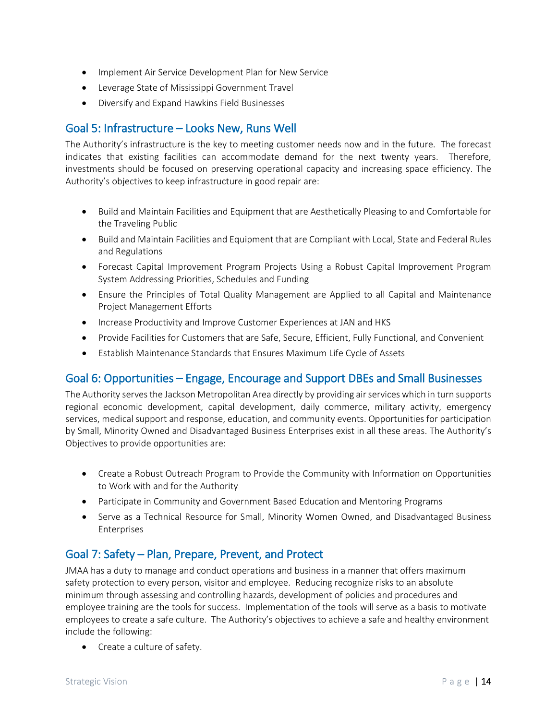- Implement Air Service Development Plan for New Service
- Leverage State of Mississippi Government Travel
- Diversify and Expand Hawkins Field Businesses

### Goal 5: Infrastructure – Looks New, Runs Well

The Authority's infrastructure is the key to meeting customer needs now and in the future. The forecast indicates that existing facilities can accommodate demand for the next twenty years. Therefore, investments should be focused on preserving operational capacity and increasing space efficiency. The Authority's objectives to keep infrastructure in good repair are:

- Build and Maintain Facilities and Equipment that are Aesthetically Pleasing to and Comfortable for the Traveling Public
- Build and Maintain Facilities and Equipment that are Compliant with Local, State and Federal Rules and Regulations
- Forecast Capital Improvement Program Projects Using a Robust Capital Improvement Program System Addressing Priorities, Schedules and Funding
- Ensure the Principles of Total Quality Management are Applied to all Capital and Maintenance Project Management Efforts
- Increase Productivity and Improve Customer Experiences at JAN and HKS
- Provide Facilities for Customers that are Safe, Secure, Efficient, Fully Functional, and Convenient
- Establish Maintenance Standards that Ensures Maximum Life Cycle of Assets

### Goal 6: Opportunities – Engage, Encourage and Support DBEs and Small Businesses

The Authority serves the Jackson Metropolitan Area directly by providing air services which in turn supports regional economic development, capital development, daily commerce, military activity, emergency services, medical support and response, education, and community events. Opportunities for participation by Small, Minority Owned and Disadvantaged Business Enterprises exist in all these areas. The Authority's Objectives to provide opportunities are:

- Create a Robust Outreach Program to Provide the Community with Information on Opportunities to Work with and for the Authority
- Participate in Community and Government Based Education and Mentoring Programs
- Serve as a Technical Resource for Small, Minority Women Owned, and Disadvantaged Business Enterprises

### Goal 7: Safety – Plan, Prepare, Prevent, and Protect

JMAA has a duty to manage and conduct operations and business in a manner that offers maximum safety protection to every person, visitor and employee. Reducing recognize risks to an absolute minimum through assessing and controlling hazards, development of policies and procedures and employee training are the tools for success. Implementation of the tools will serve as a basis to motivate employees to create a safe culture. The Authority's objectives to achieve a safe and healthy environment include the following:

• Create a culture of safety.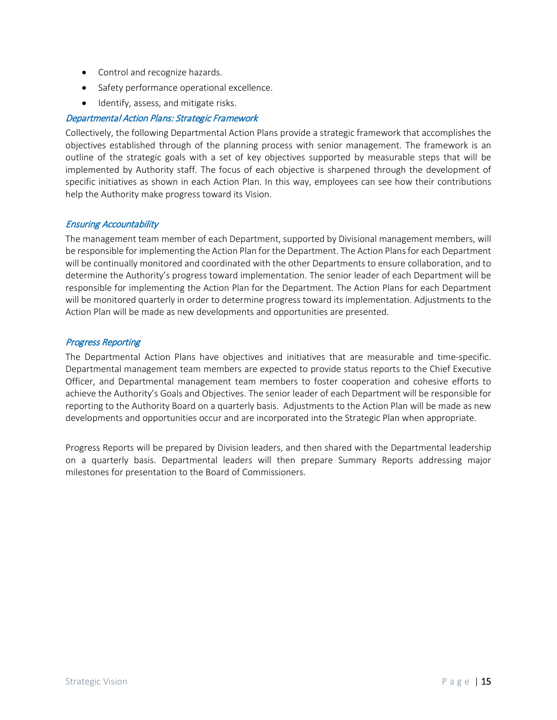- Control and recognize hazards.
- Safety performance operational excellence.
- Identify, assess, and mitigate risks.

### Departmental Action Plans: Strategic Framework

Collectively, the following Departmental Action Plans provide a strategic framework that accomplishes the objectives established through of the planning process with senior management. The framework is an outline of the strategic goals with a set of key objectives supported by measurable steps that will be implemented by Authority staff. The focus of each objective is sharpened through the development of specific initiatives as shown in each Action Plan. In this way, employees can see how their contributions help the Authority make progress toward its Vision.

### Ensuring Accountability

The management team member of each Department, supported by Divisional management members, will be responsible for implementing the Action Plan for the Department. The Action Plans for each Department will be continually monitored and coordinated with the other Departments to ensure collaboration, and to determine the Authority's progress toward implementation. The senior leader of each Department will be responsible for implementing the Action Plan for the Department. The Action Plans for each Department will be monitored quarterly in order to determine progress toward its implementation. Adjustments to the Action Plan will be made as new developments and opportunities are presented.

### Progress Reporting

The Departmental Action Plans have objectives and initiatives that are measurable and time-specific. Departmental management team members are expected to provide status reports to the Chief Executive Officer, and Departmental management team members to foster cooperation and cohesive efforts to achieve the Authority's Goals and Objectives. The senior leader of each Department will be responsible for reporting to the Authority Board on a quarterly basis. Adjustments to the Action Plan will be made as new developments and opportunities occur and are incorporated into the Strategic Plan when appropriate.

Progress Reports will be prepared by Division leaders, and then shared with the Departmental leadership on a quarterly basis. Departmental leaders will then prepare Summary Reports addressing major milestones for presentation to the Board of Commissioners.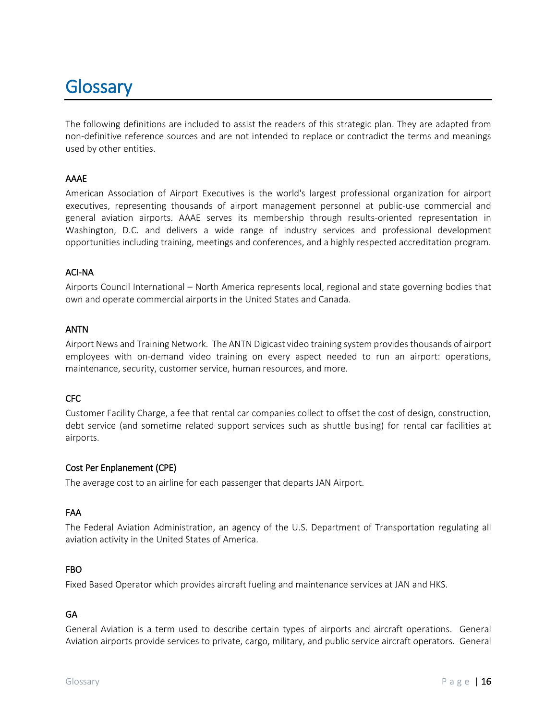# **Glossary**

The following definitions are included to assist the readers of this strategic plan. They are adapted from non-definitive reference sources and are not intended to replace or contradict the terms and meanings used by other entities.

### AAAE

American Association of Airport Executives is the world's largest professional organization for airport executives, representing thousands of airport management personnel at public-use commercial and general aviation airports. AAAE serves its membership through results-oriented representation in Washington, D.C. and delivers a wide range of industry services and professional development opportunities including training, meetings and conferences, and a highly respected accreditation program.

### ACI-NA

Airports Council International – North America represents local, regional and state governing bodies that own and operate commercial airports in the United States and Canada.

### ANTN

Airport News and Training Network. The ANTN Digicast video training system provides thousands of airport employees with on-demand video training on every aspect needed to run an airport: operations, maintenance, security, customer service, human resources, and more.

### CFC

Customer Facility Charge, a fee that rental car companies collect to offset the cost of design, construction, debt service (and sometime related support services such as shuttle busing) for rental car facilities at airports.

### Cost Per Enplanement (CPE)

The average cost to an airline for each passenger that departs JAN Airport.

### FAA

The Federal Aviation Administration, an agency of the U.S. Department of Transportation regulating all aviation activity in the United States of America.

### FBO

Fixed Based Operator which provides aircraft fueling and maintenance services at JAN and HKS.

### GA

General Aviation is a term used to describe certain types of airports and aircraft operations. General Aviation airports provide services to private, cargo, military, and public service aircraft operators. General